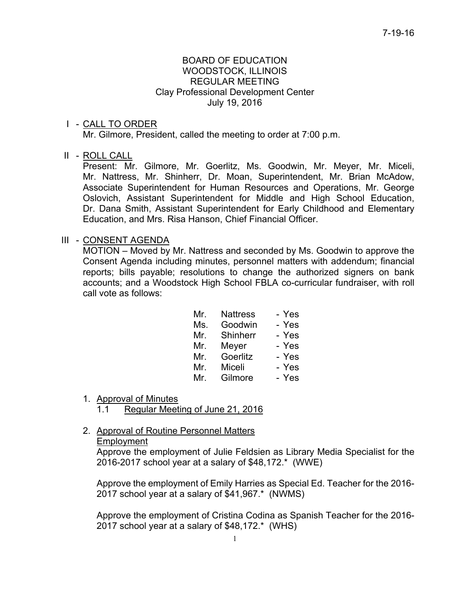## BOARD OF EDUCATION WOODSTOCK, ILLINOIS REGULAR MEETING Clay Professional Development Center July 19, 2016

## I - CALL TO ORDER

Mr. Gilmore, President, called the meeting to order at 7:00 p.m.

## II - ROLL CALL

 Present: Mr. Gilmore, Mr. Goerlitz, Ms. Goodwin, Mr. Meyer, Mr. Miceli, Mr. Nattress, Mr. Shinherr, Dr. Moan, Superintendent, Mr. Brian McAdow, Associate Superintendent for Human Resources and Operations, Mr. George Oslovich, Assistant Superintendent for Middle and High School Education, Dr. Dana Smith, Assistant Superintendent for Early Childhood and Elementary Education, and Mrs. Risa Hanson, Chief Financial Officer.

## III - CONSENT AGENDA

 MOTION – Moved by Mr. Nattress and seconded by Ms. Goodwin to approve the Consent Agenda including minutes, personnel matters with addendum; financial reports; bills payable; resolutions to change the authorized signers on bank accounts; and a Woodstock High School FBLA co-curricular fundraiser, with roll call vote as follows:

| Mr. | <b>Nattress</b> | - Yes |
|-----|-----------------|-------|
| Ms. | Goodwin         | - Yes |
| Mr. | Shinherr        | - Yes |
| Mr. | Meyer           | - Yes |
| Mr. | Goerlitz        | - Yes |
| Mr. | Miceli          | - Yes |
| Mr. | Gilmore         | - Yes |

- 1. Approval of Minutes
	- 1.1 Regular Meeting of June 21, 2016
- 2. Approval of Routine Personnel Matters

#### Employment

Approve the employment of Julie Feldsien as Library Media Specialist for the 2016-2017 school year at a salary of \$48,172.\* (WWE)

Approve the employment of Emily Harries as Special Ed. Teacher for the 2016- 2017 school year at a salary of \$41,967.\* (NWMS)

Approve the employment of Cristina Codina as Spanish Teacher for the 2016- 2017 school year at a salary of \$48,172.\* (WHS)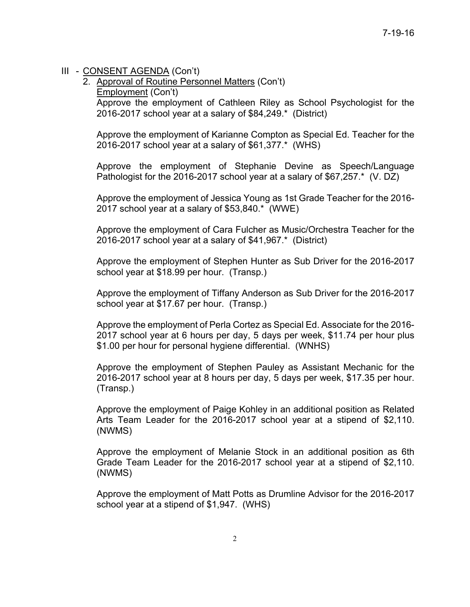## III - CONSENT AGENDA (Con't)

2. Approval of Routine Personnel Matters (Con't) Employment (Con't) Approve the employment of Cathleen Riley as School Psychologist for the 2016-2017 school year at a salary of \$84,249.\* (District)

Approve the employment of Karianne Compton as Special Ed. Teacher for the 2016-2017 school year at a salary of \$61,377.\* (WHS)

Approve the employment of Stephanie Devine as Speech/Language Pathologist for the 2016-2017 school year at a salary of \$67,257.\* (V. DZ)

Approve the employment of Jessica Young as 1st Grade Teacher for the 2016- 2017 school year at a salary of \$53,840.\* (WWE)

Approve the employment of Cara Fulcher as Music/Orchestra Teacher for the 2016-2017 school year at a salary of \$41,967.\* (District)

Approve the employment of Stephen Hunter as Sub Driver for the 2016-2017 school year at \$18.99 per hour. (Transp.)

Approve the employment of Tiffany Anderson as Sub Driver for the 2016-2017 school year at \$17.67 per hour. (Transp.)

Approve the employment of Perla Cortez as Special Ed. Associate for the 2016- 2017 school year at 6 hours per day, 5 days per week, \$11.74 per hour plus \$1.00 per hour for personal hygiene differential. (WNHS)

Approve the employment of Stephen Pauley as Assistant Mechanic for the 2016-2017 school year at 8 hours per day, 5 days per week, \$17.35 per hour. (Transp.)

Approve the employment of Paige Kohley in an additional position as Related Arts Team Leader for the 2016-2017 school year at a stipend of \$2,110. (NWMS)

Approve the employment of Melanie Stock in an additional position as 6th Grade Team Leader for the 2016-2017 school year at a stipend of \$2,110. (NWMS)

Approve the employment of Matt Potts as Drumline Advisor for the 2016-2017 school year at a stipend of \$1,947. (WHS)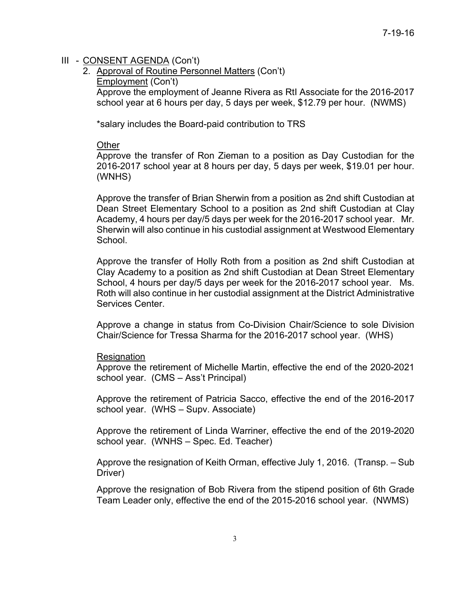## III - CONSENT AGENDA (Con't)

2. Approval of Routine Personnel Matters (Con't) Employment (Con't) Approve the employment of Jeanne Rivera as RtI Associate for the 2016-2017 school year at 6 hours per day, 5 days per week, \$12.79 per hour. (NWMS)

\*salary includes the Board-paid contribution to TRS

### **Other**

Approve the transfer of Ron Zieman to a position as Day Custodian for the 2016-2017 school year at 8 hours per day, 5 days per week, \$19.01 per hour. (WNHS)

Approve the transfer of Brian Sherwin from a position as 2nd shift Custodian at Dean Street Elementary School to a position as 2nd shift Custodian at Clay Academy, 4 hours per day/5 days per week for the 2016-2017 school year. Mr. Sherwin will also continue in his custodial assignment at Westwood Elementary School.

Approve the transfer of Holly Roth from a position as 2nd shift Custodian at Clay Academy to a position as 2nd shift Custodian at Dean Street Elementary School, 4 hours per day/5 days per week for the 2016-2017 school year. Ms. Roth will also continue in her custodial assignment at the District Administrative Services Center.

Approve a change in status from Co-Division Chair/Science to sole Division Chair/Science for Tressa Sharma for the 2016-2017 school year. (WHS)

#### Resignation

Approve the retirement of Michelle Martin, effective the end of the 2020-2021 school year. (CMS – Ass't Principal)

Approve the retirement of Patricia Sacco, effective the end of the 2016-2017 school year. (WHS – Supv. Associate)

Approve the retirement of Linda Warriner, effective the end of the 2019-2020 school year. (WNHS – Spec. Ed. Teacher)

Approve the resignation of Keith Orman, effective July 1, 2016. (Transp. – Sub Driver)

Approve the resignation of Bob Rivera from the stipend position of 6th Grade Team Leader only, effective the end of the 2015-2016 school year. (NWMS)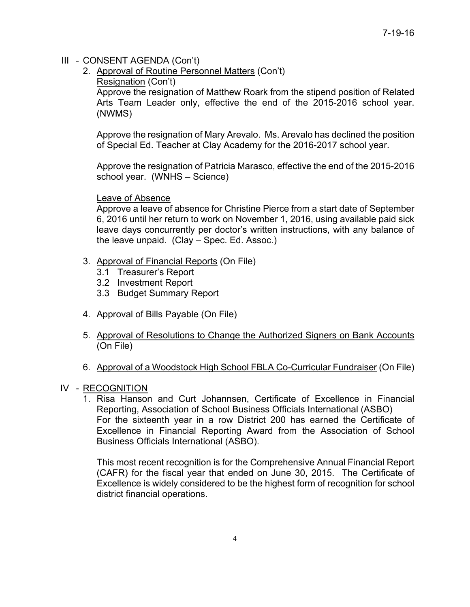# III - CONSENT AGENDA (Con't)

- 2. Approval of Routine Personnel Matters (Con't)
	- Resignation (Con't)

Approve the resignation of Matthew Roark from the stipend position of Related Arts Team Leader only, effective the end of the 2015-2016 school year. (NWMS)

Approve the resignation of Mary Arevalo. Ms. Arevalo has declined the position of Special Ed. Teacher at Clay Academy for the 2016-2017 school year.

Approve the resignation of Patricia Marasco, effective the end of the 2015-2016 school year. (WNHS – Science)

# Leave of Absence

Approve a leave of absence for Christine Pierce from a start date of September 6, 2016 until her return to work on November 1, 2016, using available paid sick leave days concurrently per doctor's written instructions, with any balance of the leave unpaid. (Clay – Spec. Ed. Assoc.)

- 3. Approval of Financial Reports (On File)
	- 3.1 Treasurer's Report
	- 3.2 Investment Report
	- 3.3 Budget Summary Report
- 4. Approval of Bills Payable (On File)
- 5. Approval of Resolutions to Change the Authorized Signers on Bank Accounts (On File)
- 6. Approval of a Woodstock High School FBLA Co-Curricular Fundraiser (On File)

# IV - RECOGNITION

1. Risa Hanson and Curt Johannsen, Certificate of Excellence in Financial Reporting, Association of School Business Officials International (ASBO) For the sixteenth year in a row District 200 has earned the Certificate of Excellence in Financial Reporting Award from the Association of School Business Officials International (ASBO).

This most recent recognition is for the Comprehensive Annual Financial Report (CAFR) for the fiscal year that ended on June 30, 2015. The Certificate of Excellence is widely considered to be the highest form of recognition for school district financial operations.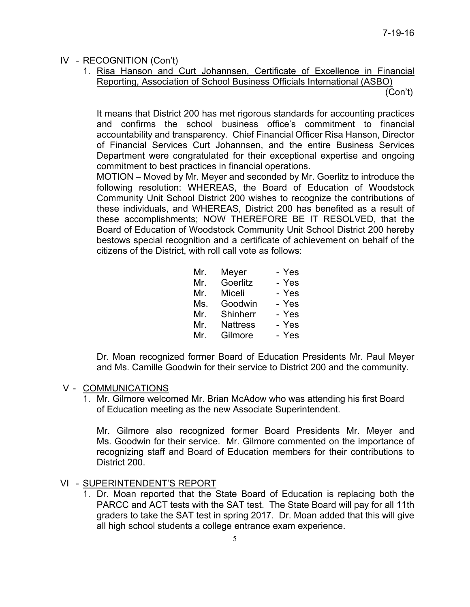# IV - RECOGNITION (Con't)

1. Risa Hanson and Curt Johannsen, Certificate of Excellence in Financial Reporting, Association of School Business Officials International (ASBO)

(Con't)

It means that District 200 has met rigorous standards for accounting practices and confirms the school business office's commitment to financial accountability and transparency. Chief Financial Officer Risa Hanson, Director of Financial Services Curt Johannsen, and the entire Business Services Department were congratulated for their exceptional expertise and ongoing commitment to best practices in financial operations.

MOTION – Moved by Mr. Meyer and seconded by Mr. Goerlitz to introduce the following resolution: WHEREAS, the Board of Education of Woodstock Community Unit School District 200 wishes to recognize the contributions of these individuals, and WHEREAS, District 200 has benefited as a result of these accomplishments; NOW THEREFORE BE IT RESOLVED, that the Board of Education of Woodstock Community Unit School District 200 hereby bestows special recognition and a certificate of achievement on behalf of the citizens of the District, with roll call vote as follows:

| Mr. | Meyer           | - Yes |
|-----|-----------------|-------|
| Mr. | Goerlitz        | - Yes |
| Mr. | Miceli          | - Yes |
| Ms. | Goodwin         | - Yes |
| Mr. | Shinherr        | - Yes |
| Mr. | <b>Nattress</b> | - Yes |
| Mr. | Gilmore         | - Yes |

Dr. Moan recognized former Board of Education Presidents Mr. Paul Meyer and Ms. Camille Goodwin for their service to District 200 and the community.

# V - COMMUNICATIONS

 1. Mr. Gilmore welcomed Mr. Brian McAdow who was attending his first Board of Education meeting as the new Associate Superintendent.

 Mr. Gilmore also recognized former Board Presidents Mr. Meyer and Ms. Goodwin for their service. Mr. Gilmore commented on the importance of recognizing staff and Board of Education members for their contributions to District 200.

## VI - SUPERINTENDENT'S REPORT

1. Dr. Moan reported that the State Board of Education is replacing both the PARCC and ACT tests with the SAT test. The State Board will pay for all 11th graders to take the SAT test in spring 2017. Dr. Moan added that this will give all high school students a college entrance exam experience.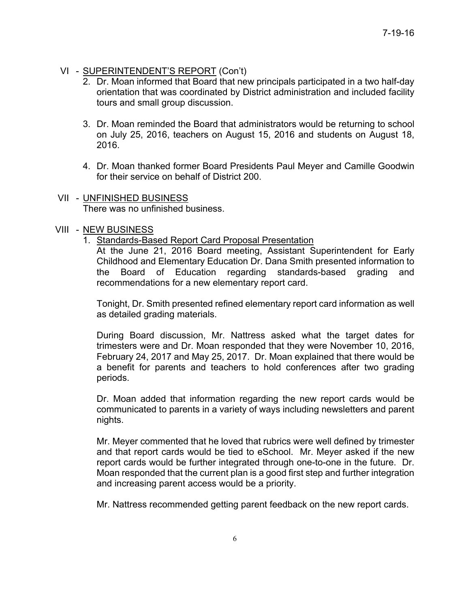## VI - SUPERINTENDENT'S REPORT (Con't)

- 2. Dr. Moan informed that Board that new principals participated in a two half-day orientation that was coordinated by District administration and included facility tours and small group discussion.
- 3. Dr. Moan reminded the Board that administrators would be returning to school on July 25, 2016, teachers on August 15, 2016 and students on August 18, 2016.
- 4. Dr. Moan thanked former Board Presidents Paul Meyer and Camille Goodwin for their service on behalf of District 200.
- VII UNFINISHED BUSINESS There was no unfinished business.

#### VIII - NEW BUSINESS

1. Standards-Based Report Card Proposal Presentation

At the June 21, 2016 Board meeting, Assistant Superintendent for Early Childhood and Elementary Education Dr. Dana Smith presented information to the Board of Education regarding standards-based grading and recommendations for a new elementary report card.

Tonight, Dr. Smith presented refined elementary report card information as well as detailed grading materials.

During Board discussion, Mr. Nattress asked what the target dates for trimesters were and Dr. Moan responded that they were November 10, 2016, February 24, 2017 and May 25, 2017. Dr. Moan explained that there would be a benefit for parents and teachers to hold conferences after two grading periods.

Dr. Moan added that information regarding the new report cards would be communicated to parents in a variety of ways including newsletters and parent nights.

Mr. Meyer commented that he loved that rubrics were well defined by trimester and that report cards would be tied to eSchool. Mr. Meyer asked if the new report cards would be further integrated through one-to-one in the future. Dr. Moan responded that the current plan is a good first step and further integration and increasing parent access would be a priority.

Mr. Nattress recommended getting parent feedback on the new report cards.